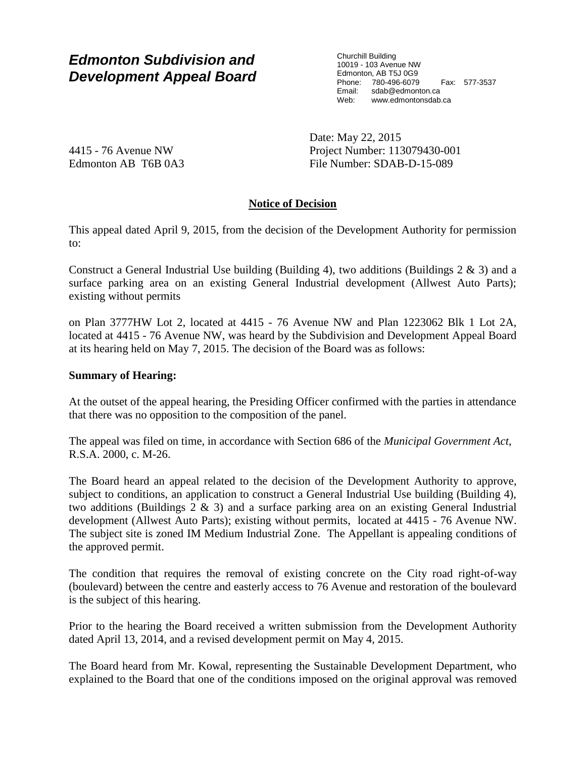# *Edmonton Subdivision and Development Appeal Board*

Churchill Building 10019 - 103 Avenue NW Edmonton, AB T5J 0G9 Phone: 780-496-6079 Fax: 577-3537 Email: sdab@edmonton.ca Web: www.edmontonsdab.ca

4415 - 76 Avenue NW Edmonton AB T6B 0A3 Date: May 22, 2015 Project Number: 113079430-001 File Number: SDAB-D-15-089

# **Notice of Decision**

This appeal dated April 9, 2015, from the decision of the Development Authority for permission to:

Construct a General Industrial Use building (Building 4), two additions (Buildings  $2 \& 3$ ) and a surface parking area on an existing General Industrial development (Allwest Auto Parts); existing without permits

on Plan 3777HW Lot 2, located at 4415 - 76 Avenue NW and Plan 1223062 Blk 1 Lot 2A, located at 4415 - 76 Avenue NW, was heard by the Subdivision and Development Appeal Board at its hearing held on May 7, 2015. The decision of the Board was as follows:

# **Summary of Hearing:**

At the outset of the appeal hearing, the Presiding Officer confirmed with the parties in attendance that there was no opposition to the composition of the panel.

The appeal was filed on time, in accordance with Section 686 of the *Municipal Government Act*, R.S.A. 2000, c. M-26.

The Board heard an appeal related to the decision of the Development Authority to approve, subject to conditions, an application to construct a General Industrial Use building (Building 4), two additions (Buildings 2 & 3) and a surface parking area on an existing General Industrial development (Allwest Auto Parts); existing without permits, located at 4415 - 76 Avenue NW. The subject site is zoned IM Medium Industrial Zone. The Appellant is appealing conditions of the approved permit.

The condition that requires the removal of existing concrete on the City road right-of-way (boulevard) between the centre and easterly access to 76 Avenue and restoration of the boulevard is the subject of this hearing.

Prior to the hearing the Board received a written submission from the Development Authority dated April 13, 2014, and a revised development permit on May 4, 2015.

The Board heard from Mr. Kowal, representing the Sustainable Development Department, who explained to the Board that one of the conditions imposed on the original approval was removed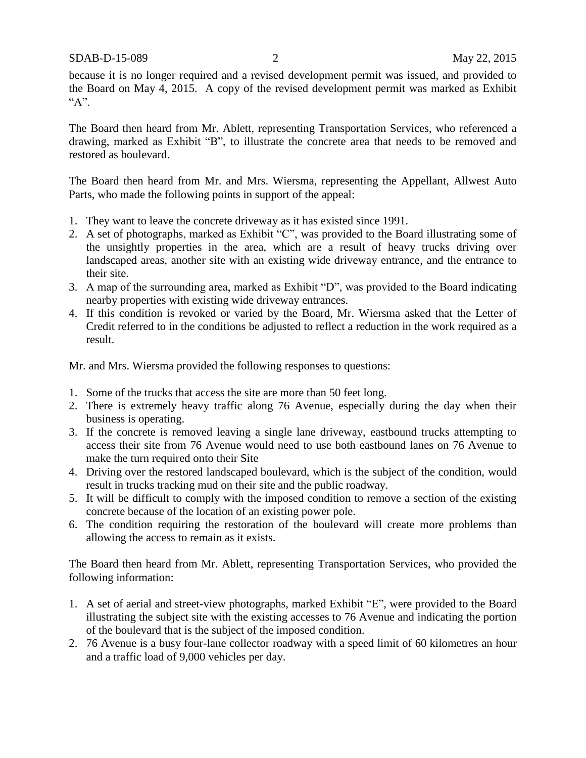because it is no longer required and a revised development permit was issued, and provided to the Board on May 4, 2015. A copy of the revised development permit was marked as Exhibit "A".

The Board then heard from Mr. Ablett, representing Transportation Services, who referenced a drawing, marked as Exhibit "B", to illustrate the concrete area that needs to be removed and restored as boulevard.

The Board then heard from Mr. and Mrs. Wiersma, representing the Appellant, Allwest Auto Parts, who made the following points in support of the appeal:

- 1. They want to leave the concrete driveway as it has existed since 1991.
- 2. A set of photographs, marked as Exhibit "C", was provided to the Board illustrating some of the unsightly properties in the area, which are a result of heavy trucks driving over landscaped areas, another site with an existing wide driveway entrance, and the entrance to their site.
- 3. A map of the surrounding area, marked as Exhibit "D", was provided to the Board indicating nearby properties with existing wide driveway entrances.
- 4. If this condition is revoked or varied by the Board, Mr. Wiersma asked that the Letter of Credit referred to in the conditions be adjusted to reflect a reduction in the work required as a result.

Mr. and Mrs. Wiersma provided the following responses to questions:

- 1. Some of the trucks that access the site are more than 50 feet long.
- 2. There is extremely heavy traffic along 76 Avenue, especially during the day when their business is operating.
- 3. If the concrete is removed leaving a single lane driveway, eastbound trucks attempting to access their site from 76 Avenue would need to use both eastbound lanes on 76 Avenue to make the turn required onto their Site
- 4. Driving over the restored landscaped boulevard, which is the subject of the condition, would result in trucks tracking mud on their site and the public roadway.
- 5. It will be difficult to comply with the imposed condition to remove a section of the existing concrete because of the location of an existing power pole.
- 6. The condition requiring the restoration of the boulevard will create more problems than allowing the access to remain as it exists.

The Board then heard from Mr. Ablett, representing Transportation Services, who provided the following information:

- 1. A set of aerial and street-view photographs, marked Exhibit "E", were provided to the Board illustrating the subject site with the existing accesses to 76 Avenue and indicating the portion of the boulevard that is the subject of the imposed condition.
- 2. 76 Avenue is a busy four-lane collector roadway with a speed limit of 60 kilometres an hour and a traffic load of 9,000 vehicles per day.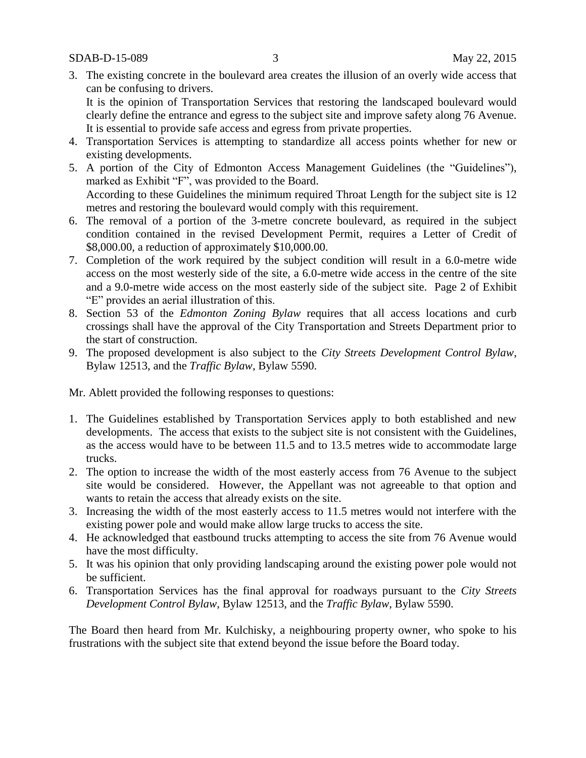3. The existing concrete in the boulevard area creates the illusion of an overly wide access that can be confusing to drivers.

It is the opinion of Transportation Services that restoring the landscaped boulevard would clearly define the entrance and egress to the subject site and improve safety along 76 Avenue. It is essential to provide safe access and egress from private properties.

- 4. Transportation Services is attempting to standardize all access points whether for new or existing developments.
- 5. A portion of the City of Edmonton Access Management Guidelines (the "Guidelines"), marked as Exhibit "F", was provided to the Board. According to these Guidelines the minimum required Throat Length for the subject site is 12 metres and restoring the boulevard would comply with this requirement.
- 6. The removal of a portion of the 3-metre concrete boulevard, as required in the subject condition contained in the revised Development Permit, requires a Letter of Credit of \$8,000.00, a reduction of approximately \$10,000.00.
- 7. Completion of the work required by the subject condition will result in a 6.0-metre wide access on the most westerly side of the site, a 6.0-metre wide access in the centre of the site and a 9.0-metre wide access on the most easterly side of the subject site. Page 2 of Exhibit "E" provides an aerial illustration of this.
- 8. Section 53 of the *Edmonton Zoning Bylaw* requires that all access locations and curb crossings shall have the approval of the City Transportation and Streets Department prior to the start of construction.
- 9. The proposed development is also subject to the *City Streets Development Control Bylaw*, Bylaw 12513, and the *Traffic Bylaw*, Bylaw 5590.

Mr. Ablett provided the following responses to questions:

- 1. The Guidelines established by Transportation Services apply to both established and new developments. The access that exists to the subject site is not consistent with the Guidelines, as the access would have to be between 11.5 and to 13.5 metres wide to accommodate large trucks.
- 2. The option to increase the width of the most easterly access from 76 Avenue to the subject site would be considered. However, the Appellant was not agreeable to that option and wants to retain the access that already exists on the site.
- 3. Increasing the width of the most easterly access to 11.5 metres would not interfere with the existing power pole and would make allow large trucks to access the site.
- 4. He acknowledged that eastbound trucks attempting to access the site from 76 Avenue would have the most difficulty.
- 5. It was his opinion that only providing landscaping around the existing power pole would not be sufficient.
- 6. Transportation Services has the final approval for roadways pursuant to the *City Streets Development Control Bylaw*, Bylaw 12513, and the *Traffic Bylaw*, Bylaw 5590.

The Board then heard from Mr. Kulchisky, a neighbouring property owner, who spoke to his frustrations with the subject site that extend beyond the issue before the Board today.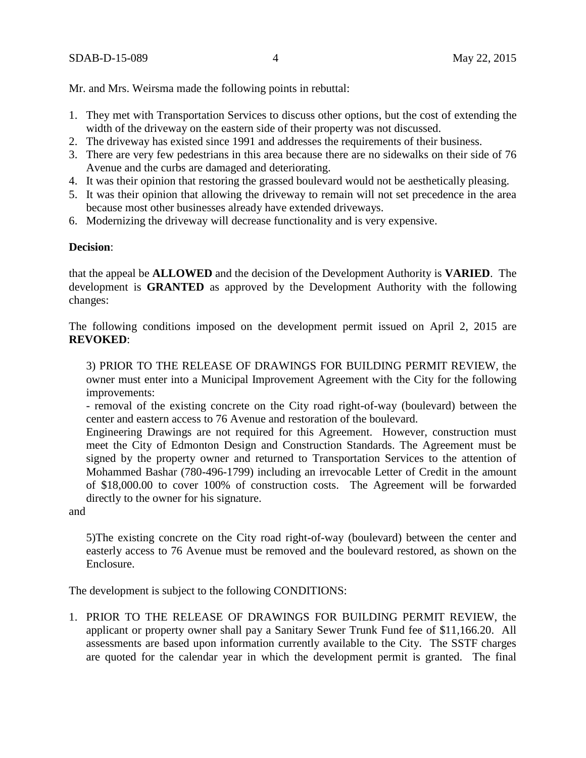Mr. and Mrs. Weirsma made the following points in rebuttal:

- 1. They met with Transportation Services to discuss other options, but the cost of extending the width of the driveway on the eastern side of their property was not discussed.
- 2. The driveway has existed since 1991 and addresses the requirements of their business.
- 3. There are very few pedestrians in this area because there are no sidewalks on their side of 76 Avenue and the curbs are damaged and deteriorating.
- 4. It was their opinion that restoring the grassed boulevard would not be aesthetically pleasing.
- 5. It was their opinion that allowing the driveway to remain will not set precedence in the area because most other businesses already have extended driveways.
- 6. Modernizing the driveway will decrease functionality and is very expensive.

#### **Decision**:

that the appeal be **ALLOWED** and the decision of the Development Authority is **VARIED**. The development is **GRANTED** as approved by the Development Authority with the following changes:

The following conditions imposed on the development permit issued on April 2, 2015 are **REVOKED**:

3) PRIOR TO THE RELEASE OF DRAWINGS FOR BUILDING PERMIT REVIEW, the owner must enter into a Municipal Improvement Agreement with the City for the following improvements:

- removal of the existing concrete on the City road right-of-way (boulevard) between the center and eastern access to 76 Avenue and restoration of the boulevard.

Engineering Drawings are not required for this Agreement. However, construction must meet the City of Edmonton Design and Construction Standards. The Agreement must be signed by the property owner and returned to Transportation Services to the attention of Mohammed Bashar (780-496-1799) including an irrevocable Letter of Credit in the amount of \$18,000.00 to cover 100% of construction costs. The Agreement will be forwarded directly to the owner for his signature.

and

5)The existing concrete on the City road right-of-way (boulevard) between the center and easterly access to 76 Avenue must be removed and the boulevard restored, as shown on the Enclosure.

The development is subject to the following CONDITIONS:

1. PRIOR TO THE RELEASE OF DRAWINGS FOR BUILDING PERMIT REVIEW, the applicant or property owner shall pay a Sanitary Sewer Trunk Fund fee of \$11,166.20. All assessments are based upon information currently available to the City. The SSTF charges are quoted for the calendar year in which the development permit is granted. The final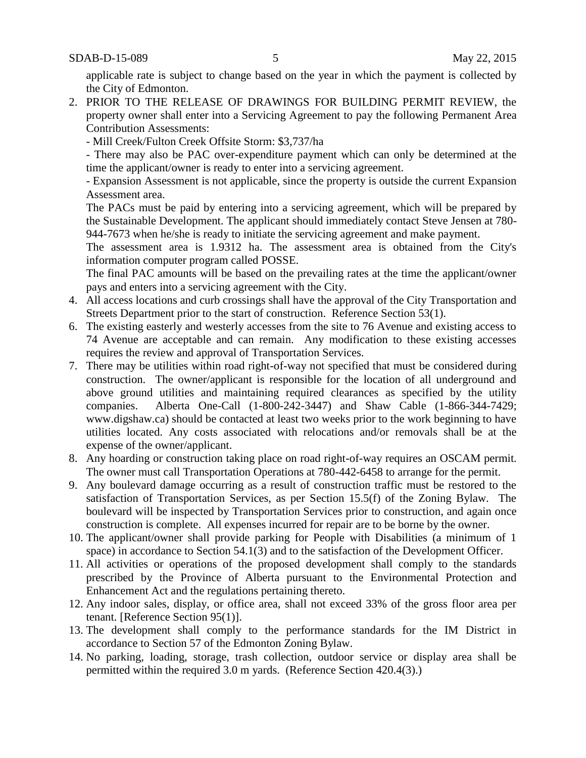applicable rate is subject to change based on the year in which the payment is collected by the City of Edmonton.

- 2. PRIOR TO THE RELEASE OF DRAWINGS FOR BUILDING PERMIT REVIEW, the property owner shall enter into a Servicing Agreement to pay the following Permanent Area Contribution Assessments:
	- Mill Creek/Fulton Creek Offsite Storm: \$3,737/ha

- There may also be PAC over-expenditure payment which can only be determined at the time the applicant/owner is ready to enter into a servicing agreement.

- Expansion Assessment is not applicable, since the property is outside the current Expansion Assessment area.

The PACs must be paid by entering into a servicing agreement, which will be prepared by the Sustainable Development. The applicant should immediately contact Steve Jensen at 780- 944-7673 when he/she is ready to initiate the servicing agreement and make payment.

The assessment area is 1.9312 ha. The assessment area is obtained from the City's information computer program called POSSE.

The final PAC amounts will be based on the prevailing rates at the time the applicant/owner pays and enters into a servicing agreement with the City.

- 4. All access locations and curb crossings shall have the approval of the City Transportation and Streets Department prior to the start of construction. Reference Section 53(1).
- 6. The existing easterly and westerly accesses from the site to 76 Avenue and existing access to 74 Avenue are acceptable and can remain. Any modification to these existing accesses requires the review and approval of Transportation Services.
- 7. There may be utilities within road right-of-way not specified that must be considered during construction. The owner/applicant is responsible for the location of all underground and above ground utilities and maintaining required clearances as specified by the utility companies. Alberta One-Call (1-800-242-3447) and Shaw Cable (1-866-344-7429; www.digshaw.ca) should be contacted at least two weeks prior to the work beginning to have utilities located. Any costs associated with relocations and/or removals shall be at the expense of the owner/applicant.
- 8. Any hoarding or construction taking place on road right-of-way requires an OSCAM permit. The owner must call Transportation Operations at 780-442-6458 to arrange for the permit.
- 9. Any boulevard damage occurring as a result of construction traffic must be restored to the satisfaction of Transportation Services, as per Section 15.5(f) of the Zoning Bylaw. The boulevard will be inspected by Transportation Services prior to construction, and again once construction is complete. All expenses incurred for repair are to be borne by the owner.
- 10. The applicant/owner shall provide parking for People with Disabilities (a minimum of 1 space) in accordance to Section 54.1(3) and to the satisfaction of the Development Officer.
- 11. All activities or operations of the proposed development shall comply to the standards prescribed by the Province of Alberta pursuant to the Environmental Protection and Enhancement Act and the regulations pertaining thereto.
- 12. Any indoor sales, display, or office area, shall not exceed 33% of the gross floor area per tenant. [Reference Section 95(1)].
- 13. The development shall comply to the performance standards for the IM District in accordance to Section 57 of the Edmonton Zoning Bylaw.
- 14. No parking, loading, storage, trash collection, outdoor service or display area shall be permitted within the required 3.0 m yards. (Reference Section 420.4(3).)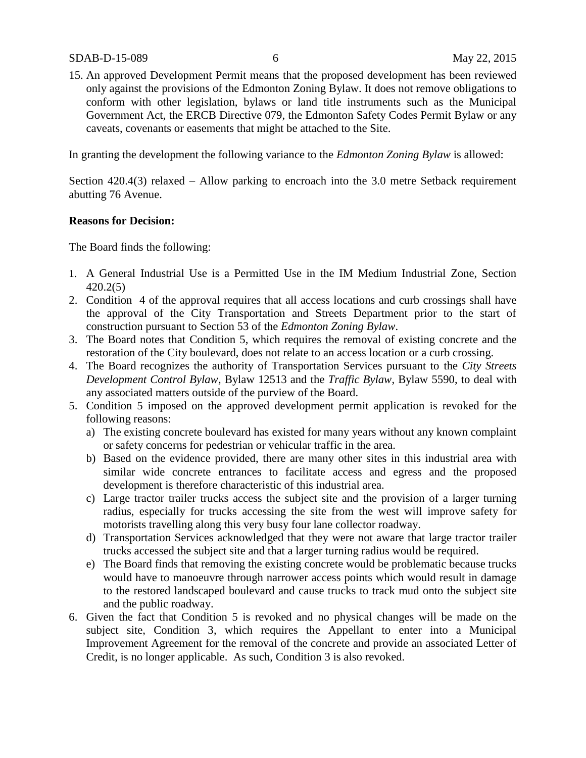15. An approved Development Permit means that the proposed development has been reviewed only against the provisions of the Edmonton Zoning Bylaw. It does not remove obligations to conform with other legislation, bylaws or land title instruments such as the Municipal Government Act, the ERCB Directive 079, the Edmonton Safety Codes Permit Bylaw or any caveats, covenants or easements that might be attached to the Site.

In granting the development the following variance to the *Edmonton Zoning Bylaw* is allowed:

Section 420.4(3) relaxed – Allow parking to encroach into the 3.0 metre Setback requirement abutting 76 Avenue.

#### **Reasons for Decision:**

The Board finds the following:

- 1. A General Industrial Use is a Permitted Use in the IM Medium Industrial Zone, Section 420.2(5)
- 2. Condition 4 of the approval requires that all access locations and curb crossings shall have the approval of the City Transportation and Streets Department prior to the start of construction pursuant to Section 53 of the *Edmonton Zoning Bylaw*.
- 3. The Board notes that Condition 5, which requires the removal of existing concrete and the restoration of the City boulevard, does not relate to an access location or a curb crossing.
- 4. The Board recognizes the authority of Transportation Services pursuant to the *City Streets Development Control Bylaw*, Bylaw 12513 and the *Traffic Bylaw*, Bylaw 5590, to deal with any associated matters outside of the purview of the Board.
- 5. Condition 5 imposed on the approved development permit application is revoked for the following reasons:
	- a) The existing concrete boulevard has existed for many years without any known complaint or safety concerns for pedestrian or vehicular traffic in the area.
	- b) Based on the evidence provided, there are many other sites in this industrial area with similar wide concrete entrances to facilitate access and egress and the proposed development is therefore characteristic of this industrial area.
	- c) Large tractor trailer trucks access the subject site and the provision of a larger turning radius, especially for trucks accessing the site from the west will improve safety for motorists travelling along this very busy four lane collector roadway.
	- d) Transportation Services acknowledged that they were not aware that large tractor trailer trucks accessed the subject site and that a larger turning radius would be required.
	- e) The Board finds that removing the existing concrete would be problematic because trucks would have to manoeuvre through narrower access points which would result in damage to the restored landscaped boulevard and cause trucks to track mud onto the subject site and the public roadway.
- 6. Given the fact that Condition 5 is revoked and no physical changes will be made on the subject site, Condition 3, which requires the Appellant to enter into a Municipal Improvement Agreement for the removal of the concrete and provide an associated Letter of Credit, is no longer applicable. As such, Condition 3 is also revoked.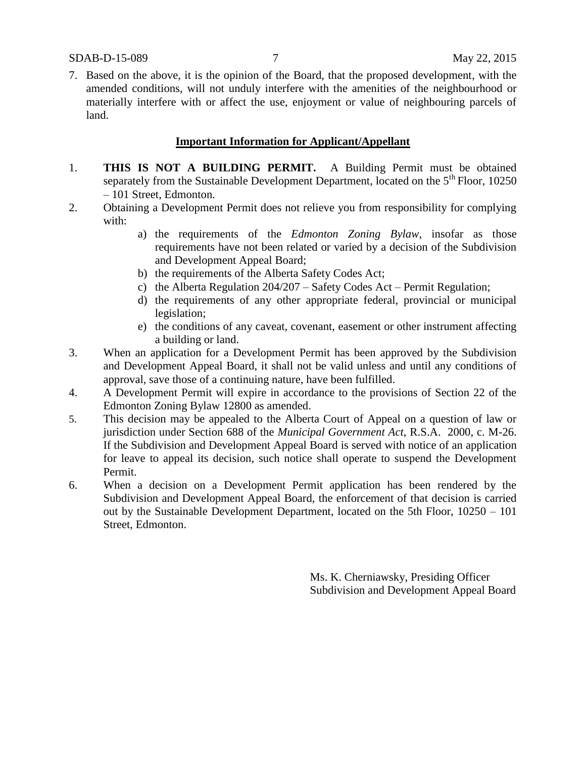7. Based on the above, it is the opinion of the Board, that the proposed development, with the amended conditions, will not unduly interfere with the amenities of the neighbourhood or materially interfere with or affect the use, enjoyment or value of neighbouring parcels of land.

### **Important Information for Applicant/Appellant**

- 1. **THIS IS NOT A BUILDING PERMIT.** A Building Permit must be obtained separately from the Sustainable Development Department, located on the  $5<sup>th</sup>$  Floor, 10250 – 101 Street, Edmonton.
- 2. Obtaining a Development Permit does not relieve you from responsibility for complying with:
	- a) the requirements of the *Edmonton Zoning Bylaw*, insofar as those requirements have not been related or varied by a decision of the Subdivision and Development Appeal Board;
	- b) the requirements of the Alberta Safety Codes Act;
	- c) the Alberta Regulation 204/207 Safety Codes Act Permit Regulation;
	- d) the requirements of any other appropriate federal, provincial or municipal legislation;
	- e) the conditions of any caveat, covenant, easement or other instrument affecting a building or land.
- 3. When an application for a Development Permit has been approved by the Subdivision and Development Appeal Board, it shall not be valid unless and until any conditions of approval, save those of a continuing nature, have been fulfilled.
- 4. A Development Permit will expire in accordance to the provisions of Section 22 of the Edmonton Zoning Bylaw 12800 as amended.
- 5. This decision may be appealed to the Alberta Court of Appeal on a question of law or jurisdiction under Section 688 of the *Municipal Government Act*, R.S.A. 2000, c. M-26. If the Subdivision and Development Appeal Board is served with notice of an application for leave to appeal its decision, such notice shall operate to suspend the Development Permit.
- 6. When a decision on a Development Permit application has been rendered by the Subdivision and Development Appeal Board, the enforcement of that decision is carried out by the Sustainable Development Department, located on the 5th Floor, 10250 – 101 Street, Edmonton.

Ms. K. Cherniawsky, Presiding Officer Subdivision and Development Appeal Board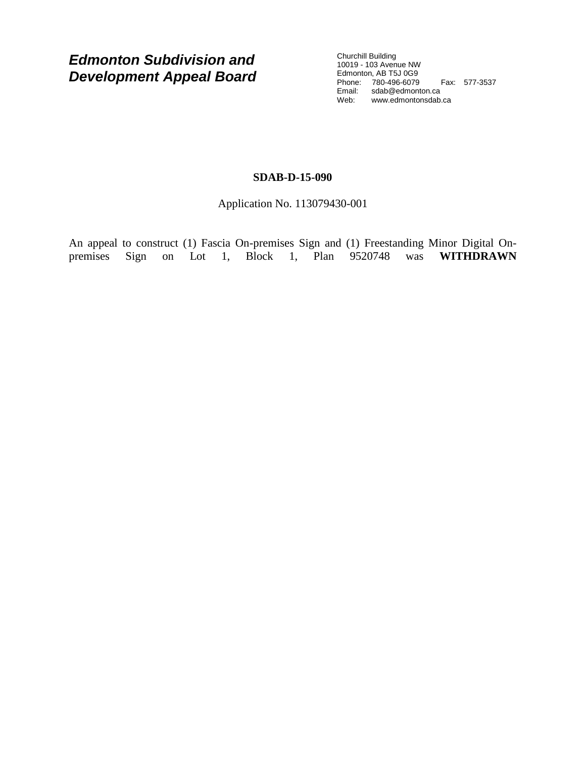*Edmonton Subdivision and Development Appeal Board*

Churchill Building 10019 - 103 Avenue NW Edmonton, AB T5J 0G9 Phone: 780-496-6079 Fax: 577-3537 Email: sdab@edmonton.ca Web: www.edmontonsdab.ca

### **SDAB-D-15-090**

Application No. 113079430-001

An appeal to construct (1) Fascia On-premises Sign and (1) Freestanding Minor Digital On-<br>premises Sign on Lot 1, Block 1, Plan 9520748 was **WITHDRAWN** premises Sign on Lot 1, Block 1, Plan 9520748 was **WITHDRAWN**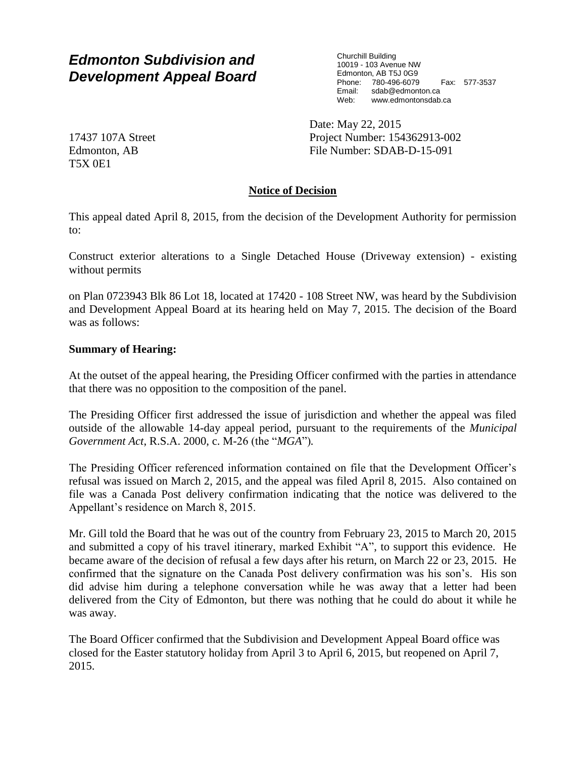# *Edmonton Subdivision and Development Appeal Board*

Churchill Building 10019 - 103 Avenue NW Edmonton, AB T5J 0G9 Phone: 780-496-6079 Fax: 577-3537 Email: sdab@edmonton.ca Web: www.edmontonsdab.ca

Date: May 22, 2015 Project Number: 154362913-002 File Number: SDAB-D-15-091

17437 107A Street Edmonton, AB T5X 0E1

### **Notice of Decision**

This appeal dated April 8, 2015, from the decision of the Development Authority for permission to:

Construct exterior alterations to a Single Detached House (Driveway extension) - existing without permits

on Plan 0723943 Blk 86 Lot 18, located at 17420 - 108 Street NW, was heard by the Subdivision and Development Appeal Board at its hearing held on May 7, 2015. The decision of the Board was as follows:

### **Summary of Hearing:**

At the outset of the appeal hearing, the Presiding Officer confirmed with the parties in attendance that there was no opposition to the composition of the panel.

The Presiding Officer first addressed the issue of jurisdiction and whether the appeal was filed outside of the allowable 14-day appeal period, pursuant to the requirements of the *Municipal Government Act*, R.S.A. 2000, c. M-26 (the "*MGA*")*.*

The Presiding Officer referenced information contained on file that the Development Officer's refusal was issued on March 2, 2015, and the appeal was filed April 8, 2015. Also contained on file was a Canada Post delivery confirmation indicating that the notice was delivered to the Appellant's residence on March 8, 2015.

Mr. Gill told the Board that he was out of the country from February 23, 2015 to March 20, 2015 and submitted a copy of his travel itinerary, marked Exhibit "A", to support this evidence. He became aware of the decision of refusal a few days after his return, on March 22 or 23, 2015. He confirmed that the signature on the Canada Post delivery confirmation was his son's. His son did advise him during a telephone conversation while he was away that a letter had been delivered from the City of Edmonton, but there was nothing that he could do about it while he was away.

The Board Officer confirmed that the Subdivision and Development Appeal Board office was closed for the Easter statutory holiday from April 3 to April 6, 2015, but reopened on April 7, 2015.